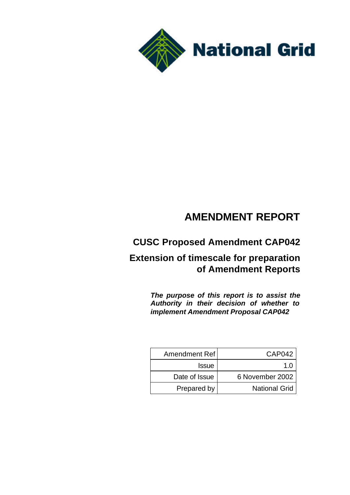

# **AMENDMENT REPORT**

# **CUSC Proposed Amendment CAP042**

## **Extension of timescale for preparation of Amendment Reports**

*The purpose of this report is to assist the Authority in their decision of whether to implement Amendment Proposal CAP042*

| Amendment Ref | CAP042               |
|---------------|----------------------|
| <b>Issue</b>  |                      |
| Date of Issue | 6 November 2002      |
| Prepared by   | <b>National Grid</b> |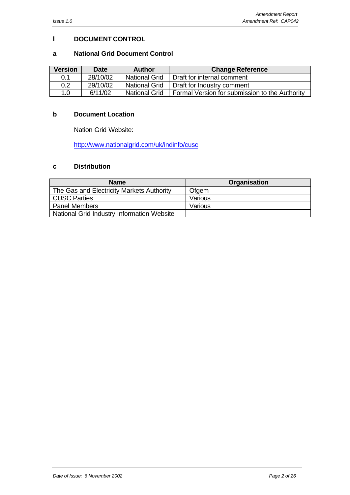#### **I DOCUMENT CONTROL**

#### **a National Grid Document Control**

| <b>Version</b> | <b>Date</b> | <b>Author</b>        | <b>Change Reference</b>                        |
|----------------|-------------|----------------------|------------------------------------------------|
| 0.1            | 28/10/02    | <b>National Grid</b> | Draft for internal comment                     |
| 0.2            | 29/10/02    | <b>National Grid</b> | Draft for Industry comment                     |
| 1.0            | 6/11/02     | <b>National Grid</b> | Formal Version for submission to the Authority |

#### **b Document Location**

Nation Grid Website:

http://www.nationalgrid.com/uk/indinfo/cusc

## **c Distribution**

| <b>Name</b>                                | <b>Organisation</b> |
|--------------------------------------------|---------------------|
| The Gas and Electricity Markets Authority  | Ofgem               |
| <b>CUSC Parties</b>                        | Various             |
| <b>Panel Members</b>                       | Various             |
| National Grid Industry Information Website |                     |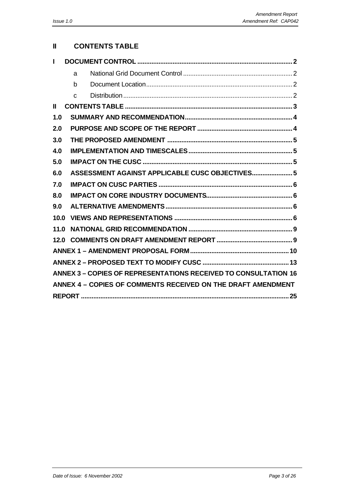## **II CONTENTS TABLE**

| Ш    |                                                                        |
|------|------------------------------------------------------------------------|
|      | a                                                                      |
|      | b                                                                      |
|      | $\mathsf{C}$                                                           |
| Ш    |                                                                        |
| 1.0  |                                                                        |
| 2.0  |                                                                        |
| 3.0  |                                                                        |
| 4.0  |                                                                        |
| 5.0  |                                                                        |
| 6.0  | ASSESSMENT AGAINST APPLICABLE CUSC OBJECTIVES 5                        |
| 7.0  |                                                                        |
| 8.0  |                                                                        |
| 9.0  |                                                                        |
| 10.0 |                                                                        |
| 11.0 |                                                                        |
| 12.0 |                                                                        |
|      |                                                                        |
|      |                                                                        |
|      | <b>ANNEX 3 - COPIES OF REPRESENTATIONS RECEIVED TO CONSULTATION 16</b> |
|      | ANNEX 4 - COPIES OF COMMENTS RECEIVED ON THE DRAFT AMENDMENT           |
|      |                                                                        |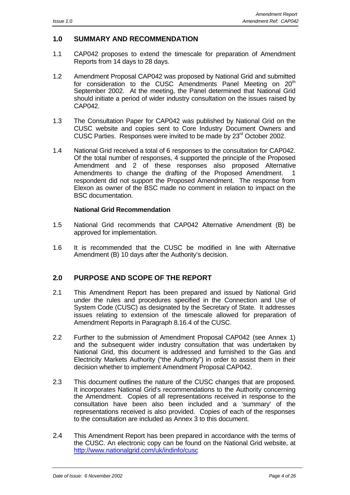#### **1.0 SUMMARY AND RECOMMENDATION**

- 1.1 CAP042 proposes to extend the timescale for preparation of Amendment Reports from 14 days to 28 days.
- 1.2 Amendment Proposal CAP042 was proposed by National Grid and submitted for consideration to the CUSC Amendments Panel Meeting on 20<sup>th</sup> September 2002. At the meeting, the Panel determined that National Grid should initiate a period of wider industry consultation on the issues raised by CAP042.
- 1.3 The Consultation Paper for CAP042 was published by National Grid on the CUSC website and copies sent to Core Industry Document Owners and CUSC Parties. Responses were invited to be made by 23rd October 2002.
- 1.4 National Grid received a total of 6 responses to the consultation for CAP042. Of the total number of responses, 4 supported the principle of the Proposed Amendment and 2 of these responses also proposed Alternative Amendments to change the drafting of the Proposed Amendment. respondent did not support the Proposed Amendment. The response from Elexon as owner of the BSC made no comment in relation to impact on the BSC documentation.

#### **National Grid Recommendation**

- 1.5 National Grid recommends that CAP042 Alternative Amendment (B) be approved for implementation.
- 1.6 It is recommended that the CUSC be modified in line with Alternative Amendment (B) 10 days after the Authority's decision.

#### **2.0 PURPOSE AND SCOPE OF THE REPORT**

- 2.1 This Amendment Report has been prepared and issued by National Grid under the rules and procedures specified in the Connection and Use of System Code (CUSC) as designated by the Secretary of State. It addresses issues relating to extension of the timescale allowed for preparation of Amendment Reports in Paragraph 8.16.4 of the CUSC.
- 2.2 Further to the submission of Amendment Proposal CAP042 (see Annex 1) and the subsequent wider industry consultation that was undertaken by National Grid, this document is addressed and furnished to the Gas and Electricity Markets Authority ("the Authority") in order to assist them in their decision whether to implement Amendment Proposal CAP042.
- 2.3 This document outlines the nature of the CUSC changes that are proposed. It incorporates National Grid's recommendations to the Authority concerning the Amendment. Copies of all representations received in response to the consultation have been also been included and a 'summary' of the representations received is also provided. Copies of each of the responses to the consultation are included as Annex 3 to this document.
- 2.4 This Amendment Report has been prepared in accordance with the terms of the CUSC. An electronic copy can be found on the National Grid website, at http://www.nationalgrid.com/uk/indinfo/cusc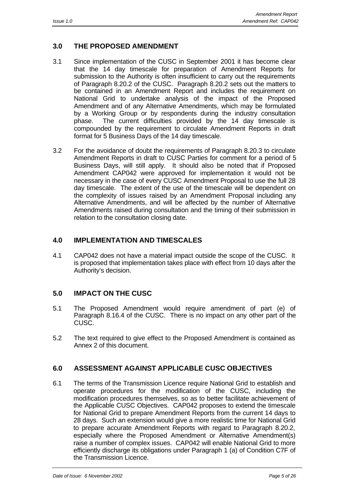## **3.0 THE PROPOSED AMENDMENT**

- 3.1 Since implementation of the CUSC in September 2001 it has become clear that the 14 day timescale for preparation of Amendment Reports for submission to the Authority is often insufficient to carry out the requirements of Paragraph 8.20.2 of the CUSC. Paragraph 8.20.2 sets out the matters to be contained in an Amendment Report and includes the requirement on National Grid to undertake analysis of the impact of the Proposed Amendment and of any Alternative Amendments, which may be formulated by a Working Group or by respondents during the industry consultation phase. The current difficulties provided by the 14 day timescale is compounded by the requirement to circulate Amendment Reports in draft format for 5 Business Days of the 14 day timescale.
- 3.2 For the avoidance of doubt the requirements of Paragraph 8.20.3 to circulate Amendment Reports in draft to CUSC Parties for comment for a period of 5 Business Days, will still apply. It should also be noted that if Proposed Amendment CAP042 were approved for implementation it would not be necessary in the case of every CUSC Amendment Proposal to use the full 28 day timescale. The extent of the use of the timescale will be dependent on the complexity of issues raised by an Amendment Proposal including any Alternative Amendments, and will be affected by the number of Alternative Amendments raised during consultation and the timing of their submission in relation to the consultation closing date.

#### **4.0 IMPLEMENTATION AND TIMESCALES**

4.1 CAP042 does not have a material impact outside the scope of the CUSC. It is proposed that implementation takes place with effect from 10 days after the Authority's decision.

#### **5.0 IMPACT ON THE CUSC**

- 5.1 The Proposed Amendment would require amendment of part (e) of Paragraph 8.16.4 of the CUSC. There is no impact on any other part of the CUSC.
- 5.2 The text required to give effect to the Proposed Amendment is contained as Annex 2 of this document.

#### **6.0 ASSESSMENT AGAINST APPLICABLE CUSC OBJECTIVES**

6.1 The terms of the Transmission Licence require National Grid to establish and operate procedures for the modification of the CUSC, including the modification procedures themselves, so as to better facilitate achievement of the Applicable CUSC Objectives. CAP042 proposes to extend the timescale for National Grid to prepare Amendment Reports from the current 14 days to 28 days. Such an extension would give a more realistic time for National Grid to prepare accurate Amendment Reports with regard to Paragraph 8.20.2, especially where the Proposed Amendment or Alternative Amendment(s) raise a number of complex issues. CAP042 will enable National Grid to more efficiently discharge its obligations under Paragraph 1 (a) of Condition C7F of the Transmission Licence.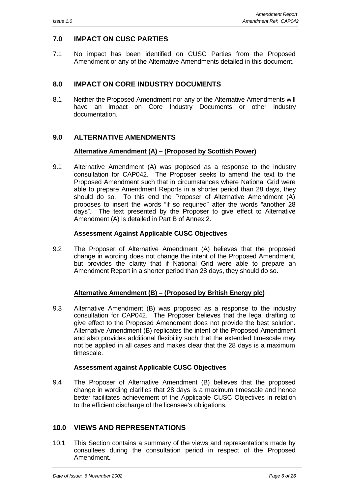## **7.0 IMPACT ON CUSC PARTIES**

7.1 No impact has been identified on CUSC Parties from the Proposed Amendment or any of the Alternative Amendments detailed in this document.

## **8.0 IMPACT ON CORE INDUSTRY DOCUMENTS**

8.1 Neither the Proposed Amendment nor any of the Alternative Amendments will have an impact on Core Industry Documents or other industry documentation.

## **9.0 ALTERNATIVE AMENDMENTS**

#### **Alternative Amendment (A) – (Proposed by Scottish Power)**

9.1 Alternative Amendment (A) was proposed as a response to the industry consultation for CAP042. The Proposer seeks to amend the text to the Proposed Amendment such that in circumstances where National Grid were able to prepare Amendment Reports in a shorter period than 28 days, they should do so. To this end the Proposer of Alternative Amendment (A) proposes to insert the words "if so required" after the words "another 28 days". The text presented by the Proposer to give effect to Alternative Amendment (A) is detailed in Part B of Annex 2.

#### **Assessment Against Applicable CUSC Objectives**

9.2 The Proposer of Alternative Amendment (A) believes that the proposed change in wording does not change the intent of the Proposed Amendment, but provides the clarity that if National Grid were able to prepare an Amendment Report in a shorter period than 28 days, they should do so.

#### **Alternative Amendment (B) – (Proposed by British Energy plc)**

9.3 Alternative Amendment (B) was proposed as a response to the industry consultation for CAP042. The Proposer believes that the legal drafting to give effect to the Proposed Amendment does not provide the best solution. Alternative Amendment (B) replicates the intent of the Proposed Amendment and also provides additional flexibility such that the extended timescale may not be applied in all cases and makes clear that the 28 days is a maximum timescale.

#### **Assessment against Applicable CUSC Objectives**

9.4 The Proposer of Alternative Amendment (B) believes that the proposed change in wording clarifies that 28 days is a maximum timescale and hence better facilitates achievement of the Applicable CUSC Objectives in relation to the efficient discharge of the licensee's obligations.

#### **10.0 VIEWS AND REPRESENTATIONS**

10.1 This Section contains a summary of the views and representations made by consultees during the consultation period in respect of the Proposed Amendment.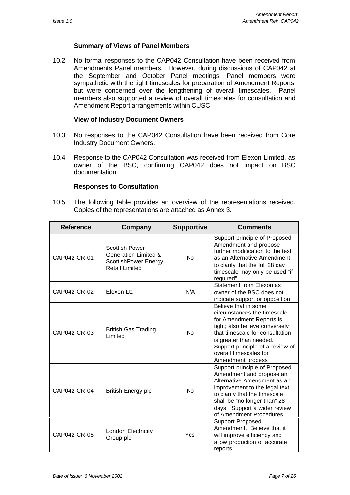#### **Summary of Views of Panel Members**

10.2 No formal responses to the CAP042 Consultation have been received from Amendments Panel members. However, during discussions of CAP042 at the September and October Panel meetings, Panel members were sympathetic with the tight timescales for preparation of Amendment Reports, but were concerned over the lengthening of overall timescales. Panel members also supported a review of overall timescales for consultation and Amendment Report arrangements within CUSC.

#### **View of Industry Document Owners**

- 10.3 No responses to the CAP042 Consultation have been received from Core Industry Document Owners.
- 10.4 Response to the CAP042 Consultation was received from Elexon Limited, as owner of the BSC, confirming CAP042 does not impact on BSC documentation.

#### **Responses to Consultation**

10.5 The following table provides an overview of the representations received. Copies of the representations are attached as Annex 3.

| <b>Reference</b> | Company                                                                                                   | <b>Supportive</b> | <b>Comments</b>                                                                                                                                                                                                                                                    |
|------------------|-----------------------------------------------------------------------------------------------------------|-------------------|--------------------------------------------------------------------------------------------------------------------------------------------------------------------------------------------------------------------------------------------------------------------|
| CAP042-CR-01     | <b>Scottish Power</b><br><b>Generation Limited &amp;</b><br>ScottishPower Energy<br><b>Retail Limited</b> | <b>No</b>         | Support principle of Proposed<br>Amendment and propose<br>further modification to the text<br>as an Alternative Amendment<br>to clarify that the full 28 day<br>timescale may only be used "if<br>required"                                                        |
| CAP042-CR-02     | Elexon Ltd                                                                                                | N/A               | Statement from Elexon as<br>owner of the BSC does not<br>indicate support or opposition                                                                                                                                                                            |
| CAP042-CR-03     | <b>British Gas Trading</b><br>Limited                                                                     | <b>No</b>         | Believe that in some<br>circumstances the timescale<br>for Amendment Reports is<br>tight; also believe conversely<br>that timescale for consultation<br>is greater than needed.<br>Support principle of a review of<br>overall timescales for<br>Amendment process |
| CAP042-CR-04     | <b>British Energy plc</b>                                                                                 | No                | Support principle of Proposed<br>Amendment and propose an<br>Alternative Amendment as an<br>improvement to the legal text<br>to clarify that the timescale<br>shall be "no longer than" 28<br>days. Support a wider review<br>of Amendment Procedures              |
| CAP042-CR-05     | London Electricity<br>Group plc                                                                           | Yes               | <b>Support Proposed</b><br>Amendment. Believe that it<br>will improve efficiency and<br>allow production of accurate<br>reports                                                                                                                                    |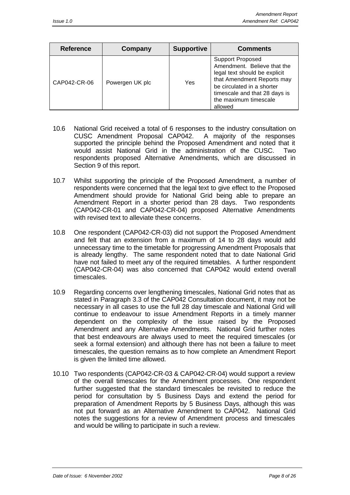| <b>Reference</b> | Company         | <b>Supportive</b> | <b>Comments</b>                                                                                                                                                                                                          |
|------------------|-----------------|-------------------|--------------------------------------------------------------------------------------------------------------------------------------------------------------------------------------------------------------------------|
| CAP042-CR-06     | Powergen UK plc | Yes               | <b>Support Proposed</b><br>Amendment. Believe that the<br>legal text should be explicit<br>that Amendment Reports may<br>be circulated in a shorter<br>timescale and that 28 days is<br>the maximum timescale<br>allowed |

- 10.6 National Grid received a total of 6 responses to the industry consultation on CUSC Amendment Proposal CAP042. A majority of the responses supported the principle behind the Proposed Amendment and noted that it would assist National Grid in the administration of the CUSC. Two respondents proposed Alternative Amendments, which are discussed in Section 9 of this report.
- 10.7 Whilst supporting the principle of the Proposed Amendment, a number of respondents were concerned that the legal text to give effect to the Proposed Amendment should provide for National Grid being able to prepare an Amendment Report in a shorter period than 28 days. Two respondents (CAP042-CR-01 and CAP042-CR-04) proposed Alternative Amendments with revised text to alleviate these concerns.
- 10.8 One respondent (CAP042-CR-03) did not support the Proposed Amendment and felt that an extension from a maximum of 14 to 28 days would add unnecessary time to the timetable for progressing Amendment Proposals that is already lengthy. The same respondent noted that to date National Grid have not failed to meet any of the required timetables. A further respondent (CAP042-CR-04) was also concerned that CAP042 would extend overall timescales.
- 10.9 Regarding concerns over lengthening timescales, National Grid notes that as stated in Paragraph 3.3 of the CAP042 Consultation document, it may not be necessary in all cases to use the full 28 day timescale and National Grid will continue to endeavour to issue Amendment Reports in a timely manner dependent on the complexity of the issue raised by the Proposed Amendment and any Alternative Amendments. National Grid further notes that best endeavours are always used to meet the required timescales (or seek a formal extension) and although there has not been a failure to meet timescales, the question remains as to how complete an Amendment Report is given the limited time allowed.
- 10.10 Two respondents (CAP042-CR-03 & CAP042-CR-04) would support a review of the overall timescales for the Amendment processes. One respondent further suggested that the standard timescales be revisited to reduce the period for consultation by 5 Business Days and extend the period for preparation of Amendment Reports by 5 Business Days, although this was not put forward as an Alternative Amendment to CAP042. National Grid notes the suggestions for a review of Amendment process and timescales and would be willing to participate in such a review.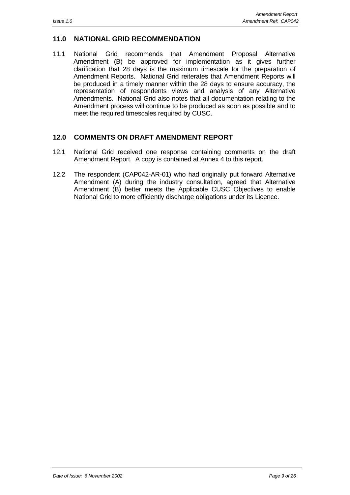#### **11.0 NATIONAL GRID RECOMMENDATION**

11.1 National Grid recommends that Amendment Proposal Alternative Amendment (B) be approved for implementation as it gives further clarification that 28 days is the maximum timescale for the preparation of Amendment Reports. National Grid reiterates that Amendment Reports will be produced in a timely manner within the 28 days to ensure accuracy, the representation of respondents views and analysis of any Alternative Amendments. National Grid also notes that all documentation relating to the Amendment process will continue to be produced as soon as possible and to meet the required timescales required by CUSC.

#### **12.0 COMMENTS ON DRAFT AMENDMENT REPORT**

- 12.1 National Grid received one response containing comments on the draft Amendment Report. A copy is contained at Annex 4 to this report.
- 12.2 The respondent (CAP042-AR-01) who had originally put forward Alternative Amendment (A) during the industry consultation, agreed that Alternative Amendment (B) better meets the Applicable CUSC Objectives to enable National Grid to more efficiently discharge obligations under its Licence.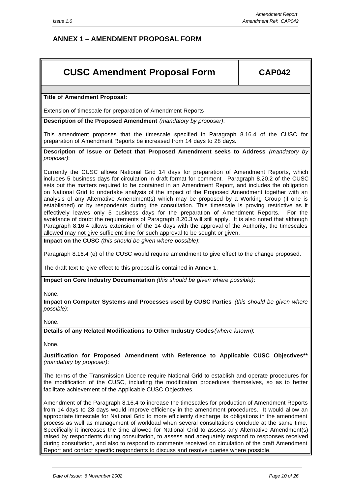## **ANNEX 1 – AMENDMENT PROPOSAL FORM**

## **CUSC Amendment Proposal Form CAP042**

**Title of Amendment Proposal:**

Extension of timescale for preparation of Amendment Reports

**Description of the Proposed Amendment** *(mandatory by proposer)*:

This amendment proposes that the timescale specified in Paragraph 8.16.4 of the CUSC for preparation of Amendment Reports be increased from 14 days to 28 days.

**Description of Issue or Defect that Proposed Amendment seeks to Address** *(mandatory by proposer)*:

Currently the CUSC allows National Grid 14 days for preparation of Amendment Reports, which includes 5 business days for circulation in draft format for comment. Paragraph 8.20.2 of the CUSC sets out the matters required to be contained in an Amendment Report, and includes the obligation on National Grid to undertake analysis of the impact of the Proposed Amendment together with an analysis of any Alternative Amendment(s) which may be proposed by a Working Group (if one is established) or by respondents during the consultation. This timescale is proving restrictive as it effectively leaves only 5 business days for the preparation of Amendment Reports. For the avoidance of doubt the requirements of Paragraph 8.20.3 will still apply. It is also noted that although Paragraph 8.16.4 allows extension of the 14 days with the approval of the Authority, the timescales allowed may not give sufficient time for such approval to be sought or given.

**Impact on the CUSC** *(this should be given where possible)*:

Paragraph 8.16.4 (e) of the CUSC would require amendment to give effect to the change proposed.

The draft text to give effect to this proposal is contained in Annex 1.

**Impact on Core Industry Documentation** *(this should be given where possible)*:

None.

**Impact on Computer Systems and Processes used by CUSC Parties** *(this should be given where possible)*:

None.

**Details of any Related Modifications to Other Industry Codes***(where known)*:

None.

**Justification for Proposed Amendment with Reference to Applicable CUSC Objectives\*\*** *(mandatory by proposer)*:

The terms of the Transmission Licence require National Grid to establish and operate procedures for the modification of the CUSC, including the modification procedures themselves, so as to better facilitate achievement of the Applicable CUSC Objectives.

Amendment of the Paragraph 8.16.4 to increase the timescales for production of Amendment Reports from 14 days to 28 days would improve efficiency in the amendment procedures. It would allow an appropriate timescale for National Grid to more efficiently discharge its obligations in the amendment process as well as management of workload when several consultations conclude at the same time. Specifically it increases the time allowed for National Grid to assess any Alternative Amendment(s) raised by respondents during consultation, to assess and adequately respond to responses received during consultation, and also to respond to comments received on circulation of the draft Amendment Report and contact specific respondents to discuss and resolve queries where possible.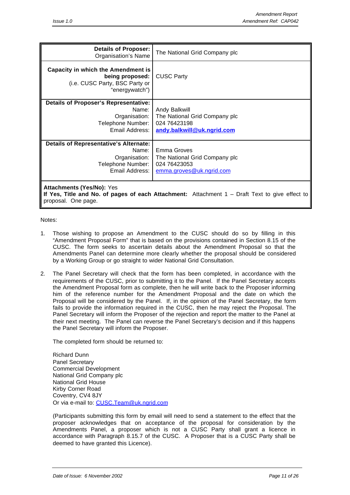| <b>Details of Proposer:</b><br>Organisation's Name                                                            | The National Grid Company plc                                                                |
|---------------------------------------------------------------------------------------------------------------|----------------------------------------------------------------------------------------------|
| Capacity in which the Amendment is<br>being proposed:<br>(i.e. CUSC Party, BSC Party or<br>"energywatch")     | <b>CUSC Party</b>                                                                            |
| <b>Details of Proposer's Representative:</b><br>Name:<br>Organisation:<br>Telephone Number:<br>Email Address: | Andy Balkwill<br>The National Grid Company plc<br>024 76423198<br>andy.balkwill@uk.ngrid.com |
| Details of Representative's Alternate:<br>Name:<br>Organisation:<br>Telephone Number:<br>Email Address:       | Emma Groves<br>The National Grid Company plc<br>024 76423053<br>emma.groves@uk.ngrid.com     |
| <b>Attachments (Yes/No): Yes</b>                                                                              |                                                                                              |

**If Yes, Title and No. of pages of each Attachment:** Attachment 1 – Draft Text to give effect to proposal. One page.

Notes:

- 1. Those wishing to propose an Amendment to the CUSC should do so by filling in this "Amendment Proposal Form" that is based on the provisions contained in Section 8.15 of the CUSC. The form seeks to ascertain details about the Amendment Proposal so that the Amendments Panel can determine more clearly whether the proposal should be considered by a Working Group or go straight to wider National Grid Consultation.
- 2. The Panel Secretary will check that the form has been completed, in accordance with the requirements of the CUSC, prior to submitting it to the Panel. If the Panel Secretary accepts the Amendment Proposal form as complete, then he will write back to the Proposer informing him of the reference number for the Amendment Proposal and the date on which the Proposal will be considered by the Panel. If, in the opinion of the Panel Secretary, the form fails to provide the information required in the CUSC, then he may reject the Proposal. The Panel Secretary will inform the Proposer of the rejection and report the matter to the Panel at their next meeting. The Panel can reverse the Panel Secretary's decision and if this happens the Panel Secretary will inform the Proposer.

The completed form should be returned to:

Richard Dunn Panel Secretary Commercial Development National Grid Company plc National Grid House Kirby Corner Road Coventry, CV4 8JY Or via e-mail to: CUSC.Team@uk.ngrid.com

(Participants submitting this form by email will need to send a statement to the effect that the proposer acknowledges that on acceptance of the proposal for consideration by the Amendments Panel, a proposer which is not a CUSC Party shall grant a licence in accordance with Paragraph 8.15.7 of the CUSC. A Proposer that is a CUSC Party shall be deemed to have granted this Licence).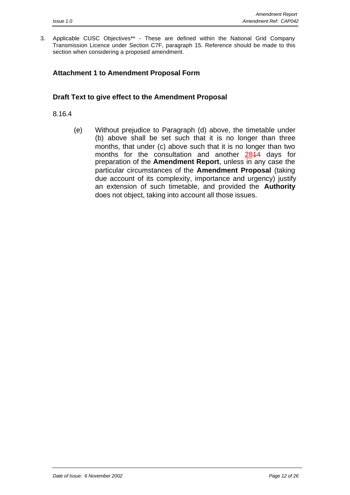3. Applicable CUSC Objectives\*\* - These are defined within the National Grid Company Transmission Licence under Section C7F, paragraph 15. Reference should be made to this section when considering a proposed amendment.

## **Attachment 1 to Amendment Proposal Form**

#### **Draft Text to give effect to the Amendment Proposal**

#### 8.16.4

(e) Without prejudice to Paragraph (d) above, the timetable under (b) above shall be set such that it is no longer than three months, that under (c) above such that it is no longer than two months for the consultation and another 2814 days for preparation of the **Amendment Report**, unless in any case the particular circumstances of the **Amendment Proposal** (taking due account of its complexity, importance and urgency) justify an extension of such timetable, and provided the **Authority** does not object, taking into account all those issues.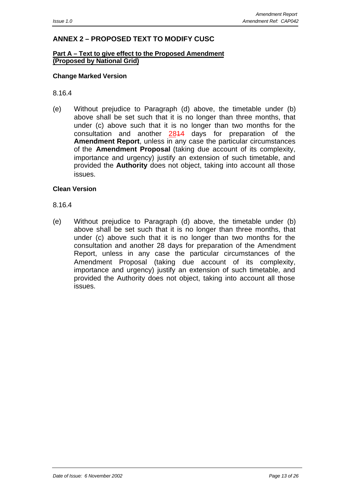## **ANNEX 2 – PROPOSED TEXT TO MODIFY CUSC**

#### **Part A – Text to give effect to the Proposed Amendment (Proposed by National Grid)**

#### **Change Marked Version**

8.16.4

(e) Without prejudice to Paragraph (d) above, the timetable under (b) above shall be set such that it is no longer than three months, that under (c) above such that it is no longer than two months for the consultation and another 2814 days for preparation of the **Amendment Report**, unless in any case the particular circumstances of the **Amendment Proposal** (taking due account of its complexity, importance and urgency) justify an extension of such timetable, and provided the **Authority** does not object, taking into account all those issues.

#### **Clean Version**

#### 8.16.4

(e) Without prejudice to Paragraph (d) above, the timetable under (b) above shall be set such that it is no longer than three months, that under (c) above such that it is no longer than two months for the consultation and another 28 days for preparation of the Amendment Report, unless in any case the particular circumstances of the Amendment Proposal (taking due account of its complexity, importance and urgency) justify an extension of such timetable, and provided the Authority does not object, taking into account all those issues.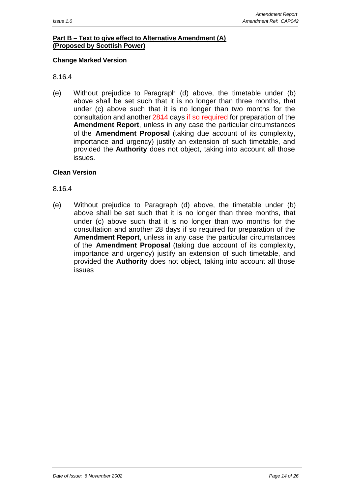## **Part B – Text to give effect to Alternative Amendment (A) (Proposed by Scottish Power)**

#### **Change Marked Version**

#### 8.16.4

(e) Without prejudice to Paragraph (d) above, the timetable under (b) above shall be set such that it is no longer than three months, that under (c) above such that it is no longer than two months for the consultation and another 2814 days if so required for preparation of the **Amendment Report**, unless in any case the particular circumstances of the **Amendment Proposal** (taking due account of its complexity, importance and urgency) justify an extension of such timetable, and provided the **Authority** does not object, taking into account all those issues.

#### **Clean Version**

#### 8.16.4

(e) Without prejudice to Paragraph (d) above, the timetable under (b) above shall be set such that it is no longer than three months, that under (c) above such that it is no longer than two months for the consultation and another 28 days if so required for preparation of the **Amendment Report**, unless in any case the particular circumstances of the **Amendment Proposal** (taking due account of its complexity, importance and urgency) justify an extension of such timetable, and provided the **Authority** does not object, taking into account all those issues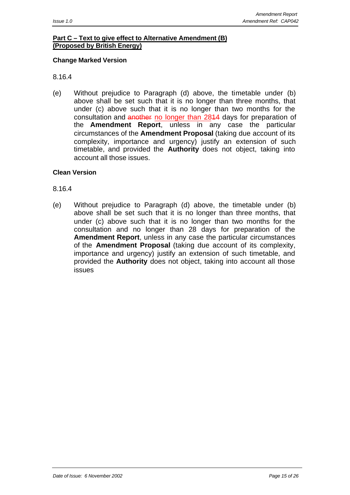## **Part C – Text to give effect to Alternative Amendment (B) (Proposed by British Energy)**

#### **Change Marked Version**

#### 8.16.4

(e) Without prejudice to Paragraph (d) above, the timetable under (b) above shall be set such that it is no longer than three months, that under (c) above such that it is no longer than two months for the consultation and another no longer than 2844 days for preparation of the **Amendment Report**, unless in any case the particular circumstances of the **Amendment Proposal** (taking due account of its complexity, importance and urgency) justify an extension of such timetable, and provided the **Authority** does not object, taking into account all those issues.

#### **Clean Version**

#### 8.16.4

(e) Without prejudice to Paragraph (d) above, the timetable under (b) above shall be set such that it is no longer than three months, that under (c) above such that it is no longer than two months for the consultation and no longer than 28 days for preparation of the **Amendment Report**, unless in any case the particular circumstances of the **Amendment Proposal** (taking due account of its complexity, importance and urgency) justify an extension of such timetable, and provided the **Authority** does not object, taking into account all those issues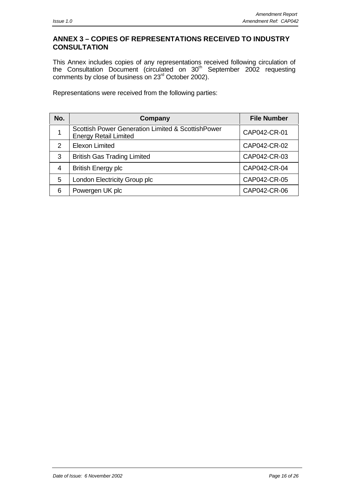## **ANNEX 3 – COPIES OF REPRESENTATIONS RECEIVED TO INDUSTRY CONSULTATION**

This Annex includes copies of any representations received following circulation of the Consultation Document (circulated on 30<sup>th</sup> September 2002 requesting comments by close of business on 23<sup>rd</sup> October 2002).

Representations were received from the following parties:

| No. | Company                                                                           | <b>File Number</b> |
|-----|-----------------------------------------------------------------------------------|--------------------|
|     | Scottish Power Generation Limited & ScottishPower<br><b>Energy Retail Limited</b> | CAP042-CR-01       |
| 2   | <b>Elexon Limited</b>                                                             | CAP042-CR-02       |
| 3   | <b>British Gas Trading Limited</b>                                                | CAP042-CR-03       |
| 4   | <b>British Energy plc</b>                                                         | CAP042-CR-04       |
| 5   | London Electricity Group plc                                                      | CAP042-CR-05       |
| 6   | Powergen UK plc                                                                   | CAP042-CR-06       |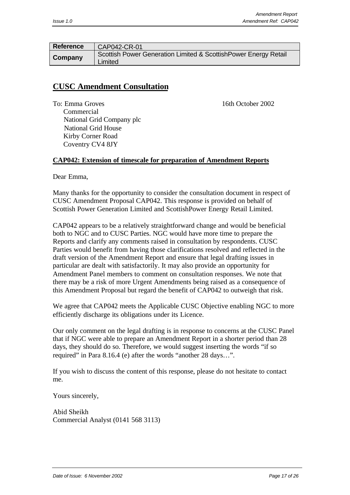| <b>Reference</b> | CAP042-CR-01                                                                |
|------------------|-----------------------------------------------------------------------------|
| Company          | Scottish Power Generation Limited & Scottish Power Energy Retail<br>Limited |

## **CUSC Amendment Consultation**

To: Emma Groves 2002 Commercial National Grid Company plc National Grid House Kirby Corner Road Coventry CV4 8JY

#### **CAP042: Extension of timescale for preparation of Amendment Reports**

Dear Emma,

Many thanks for the opportunity to consider the consultation document in respect of CUSC Amendment Proposal CAP042. This response is provided on behalf of Scottish Power Generation Limited and ScottishPower Energy Retail Limited.

CAP042 appears to be a relatively straightforward change and would be beneficial both to NGC and to CUSC Parties. NGC would have more time to prepare the Reports and clarify any comments raised in consultation by respondents. CUSC Parties would benefit from having those clarifications resolved and reflected in the draft version of the Amendment Report and ensure that legal drafting issues in particular are dealt with satisfactorily. It may also provide an opportunity for Amendment Panel members to comment on consultation responses. We note that there may be a risk of more Urgent Amendments being raised as a consequence of this Amendment Proposal but regard the benefit of CAP042 to outweigh that risk.

We agree that CAP042 meets the Applicable CUSC Objective enabling NGC to more efficiently discharge its obligations under its Licence.

Our only comment on the legal drafting is in response to concerns at the CUSC Panel that if NGC were able to prepare an Amendment Report in a shorter period than 28 days, they should do so. Therefore, we would suggest inserting the words "if so required" in Para 8.16.4 (e) after the words "another 28 days…".

If you wish to discuss the content of this response, please do not hesitate to contact me.

Yours sincerely,

Abid Sheikh Commercial Analyst (0141 568 3113)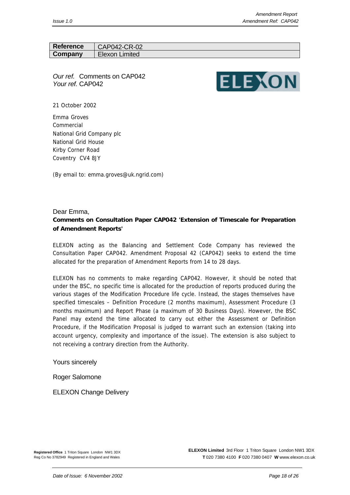| <b>Reference</b> | CAP042-CR-02   |
|------------------|----------------|
| Company          | Elexon Limited |

*Our ref.* Comments on CAP042 *Your ref.* CAP042



21 October 2002

Emma Groves Commercial National Grid Company plc National Grid House Kirby Corner Road Coventry CV4 8JY

(By email to: emma.groves@uk.ngrid.com)

#### Dear Emma, **Comments on Consultation Paper CAP042 'Extension of Timescale for Preparation of Amendment Reports'**

ELEXON acting as the Balancing and Settlement Code Company has reviewed the Consultation Paper CAP042. Amendment Proposal 42 (CAP042) seeks to extend the time allocated for the preparation of Amendment Reports from 14 to 28 days.

ELEXON has no comments to make regarding CAP042. However, it should be noted that under the BSC, no specific time is allocated for the production of reports produced during the various stages of the Modification Procedure life cycle. Instead, the stages themselves have specified timescales – Definition Procedure (2 months maximum), Assessment Procedure (3 months maximum) and Report Phase (a maximum of 30 Business Days). However, the BSC Panel may extend the time allocated to carry out either the Assessment or Definition Procedure, if the Modification Proposal is judged to warrant such an extension (taking into account urgency, complexity and importance of the issue). The extension is also subject to not receiving a contrary direction from the Authority.

Yours sincerely

Roger Salomone

ELEXON Change Delivery

**Registered Office** 1 Triton Square London NW1 3DX Reg Co No 3782949 Registered in England and Wales

**ELEXON Limited** 3rd Floor 1 Triton Square London NW1 3DX **T** 020 7380 4100 **F** 020 7380 0407 **W** www.elexon.co.uk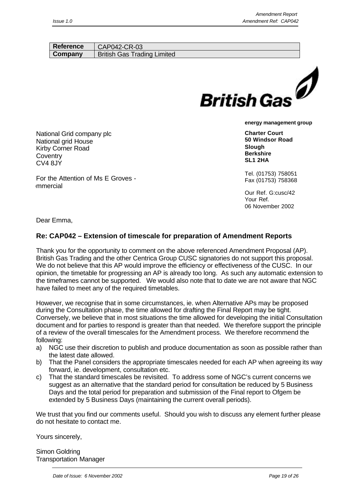| Reference            | CAP042-CR-03                       |                         |
|----------------------|------------------------------------|-------------------------|
| Company              | <b>British Gas Trading Limited</b> |                         |
|                      |                                    |                         |
|                      |                                    |                         |
|                      |                                    |                         |
|                      |                                    |                         |
|                      |                                    | <b>British Gas</b>      |
|                      |                                    | energy management group |
| hal Grid company plc |                                    | <b>Charter Court</b>    |
| al arid House        |                                    | 50 Windsor Road         |

National National grid House Kirby Corner Road **Coventry** CV4 8JY

For the Attention of Ms E Groves ommercial

Tel. (01753) 758051 Fax (01753) 758368

**Slough Berkshire SL1 2HA**

Our Ref. G:cusc/42 Your Ref. 06 November 2002

Dear Emma,

## **Re: CAP042 – Extension of timescale for preparation of Amendment Reports**

Thank you for the opportunity to comment on the above referenced Amendment Proposal (AP). British Gas Trading and the other Centrica Group CUSC signatories do not support this proposal. We do not believe that this AP would improve the efficiency or effectiveness of the CUSC. In our opinion, the timetable for progressing an AP is already too long. As such any automatic extension to the timeframes cannot be supported. We would also note that to date we are not aware that NGC have failed to meet any of the required timetables.

However, we recognise that in some circumstances, ie. when Alternative APs may be proposed during the Consultation phase, the time allowed for drafting the Final Report may be tight. Conversely, we believe that in most situations the time allowed for developing the initial Consultation document and for parties to respond is greater than that needed. We therefore support the principle of a review of the overall timescales for the Amendment process. We therefore recommend the following:

- a) NGC use their discretion to publish and produce documentation as soon as possible rather than the latest date allowed.
- b) That the Panel considers the appropriate timescales needed for each AP when agreeing its way forward, ie. development, consultation etc.
- c) That the standard timescales be revisited. To address some of NGC's current concerns we suggest as an alternative that the standard period for consultation be reduced by 5 Business Days and the total period for preparation and submission of the Final report to Ofgem be extended by 5 Business Days (maintaining the current overall periods).

We trust that you find our comments useful. Should you wish to discuss any element further please do not hesitate to contact me.

Yours sincerely,

Simon Goldring Transportation Manager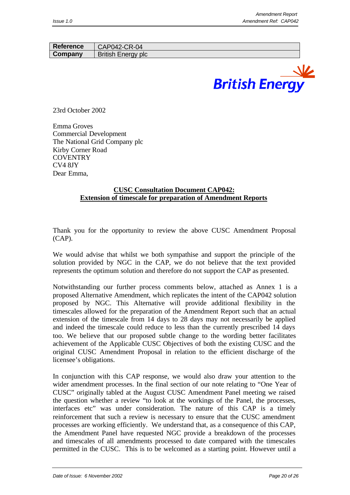| Reference | CAP042-CR-04              |
|-----------|---------------------------|
| Company   | <b>British Energy plc</b> |



23rd October 2002

Emma Groves Commercial Development The National Grid Company plc Kirby Corner Road **COVENTRY** CV4 8JY Dear Emma,

#### **CUSC Consultation Document CAP042: Extension of timescale for preparation of Amendment Reports**

Thank you for the opportunity to review the above CUSC Amendment Proposal (CAP).

We would advise that whilst we both sympathise and support the principle of the solution provided by NGC in the CAP, we do not believe that the text provided represents the optimum solution and therefore do not support the CAP as presented.

Notwithstanding our further process comments below, attached as Annex 1 is a proposed Alternative Amendment, which replicates the intent of the CAP042 solution proposed by NGC. This Alternative will provide additional flexibility in the timescales allowed for the preparation of the Amendment Report such that an actual extension of the timescale from 14 days to 28 days may not necessarily be applied and indeed the timescale could reduce to less than the currently prescribed 14 days too. We believe that our proposed subtle change to the wording better facilitates achievement of the Applicable CUSC Objectives of both the existing CUSC and the original CUSC Amendment Proposal in relation to the efficient discharge of the licensee's obligations.

In conjunction with this CAP response, we would also draw your attention to the wider amendment processes. In the final section of our note relating to "One Year of CUSC" originally tabled at the August CUSC Amendment Panel meeting we raised the question whether a review "to look at the workings of the Panel, the processes, interfaces etc" was under consideration. The nature of this CAP is a timely reinforcement that such a review is necessary to ensure that the CUSC amendment processes are working efficiently. We understand that, as a consequence of this CAP, the Amendment Panel have requested NGC provide a breakdown of the processes and timescales of all amendments processed to date compared with the timescales permitted in the CUSC. This is to be welcomed as a starting point. However until a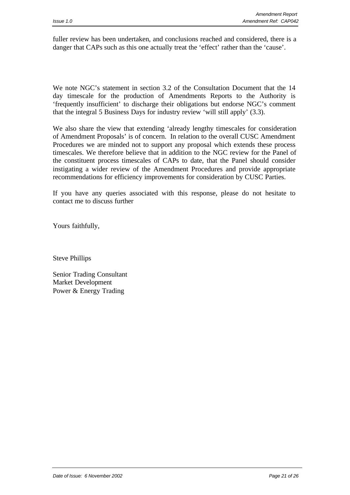fuller review has been undertaken, and conclusions reached and considered, there is a danger that CAPs such as this one actually treat the 'effect' rather than the 'cause'.

We note NGC's statement in section 3.2 of the Consultation Document that the 14 day timescale for the production of Amendments Reports to the Authority is 'frequently insufficient' to discharge their obligations but endorse NGC's comment that the integral 5 Business Days for industry review 'will still apply' (3.3).

We also share the view that extending 'already lengthy timescales for consideration of Amendment Proposals' is of concern. In relation to the overall CUSC Amendment Procedures we are minded not to support any proposal which extends these process timescales. We therefore believe that in addition to the NGC review for the Panel of the constituent process timescales of CAPs to date, that the Panel should consider instigating a wider review of the Amendment Procedures and provide appropriate recommendations for efficiency improvements for consideration by CUSC Parties.

If you have any queries associated with this response, please do not hesitate to contact me to discuss further

Yours faithfully,

Steve Phillips

Senior Trading Consultant Market Development Power & Energy Trading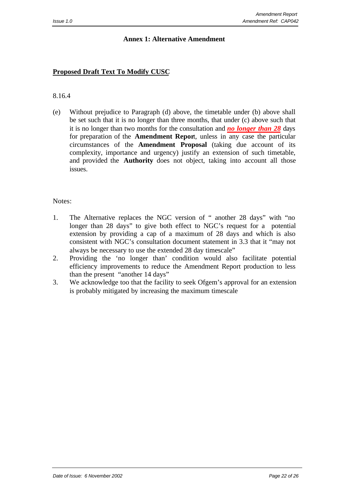#### **Annex 1: Alternative Amendment**

## **Proposed Draft Text To Modify CUSC**

#### 8.16.4

(e) Without prejudice to Paragraph (d) above, the timetable under (b) above shall be set such that it is no longer than three months, that under (c) above such that it is no longer than two months for the consultation and *no longer than 28* days for preparation of the **Amendment Repor**t, unless in any case the particular circumstances of the **Amendment Proposal** (taking due account of its complexity, importance and urgency) justify an extension of such timetable, and provided the **Authority** does not object, taking into account all those issues.

#### Notes:

- 1. The Alternative replaces the NGC version of " another 28 days" with "no longer than 28 days" to give both effect to NGC's request for a potential extension by providing a cap of a maximum of 28 days and which is also consistent with NGC's consultation document statement in 3.3 that it "may not always be necessary to use the extended 28 day timescale"
- 2. Providing the 'no longer than' condition would also facilitate potential efficiency improvements to reduce the Amendment Report production to less than the present "another 14 days"
- 3. We acknowledge too that the facility to seek Ofgem's approval for an extension is probably mitigated by increasing the maximum timescale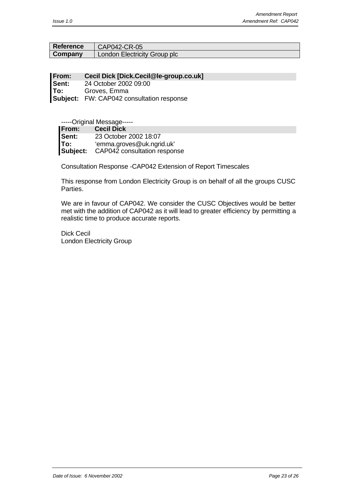| <b>Reference</b> | $CAP042-CR-05$                      |
|------------------|-------------------------------------|
| Company          | <b>London Electricity Group plc</b> |

**From: Cecil Dick [Dick.Cecil@le-group.co.uk] Sent:** 24 October 2002 09:00 **To:** Groves, Emma **Subject:** FW: CAP042 consultation response

-----Original Message-----

| <b>IFrom:</b> | <b>Cecil Dick</b>            |
|---------------|------------------------------|
| lSent:        | 23 October 2002 18:07        |
| 'To:          | 'emma.groves@uk.ngrid.uk'    |
| Subject:      | CAP042 consultation response |

Consultation Response -CAP042 Extension of Report Timescales

This response from London Electricity Group is on behalf of all the groups CUSC Parties.

We are in favour of CAP042. We consider the CUSC Objectives would be better met with the addition of CAP042 as it will lead to greater efficiency by permitting a realistic time to produce accurate reports.

Dick Cecil London Electricity Group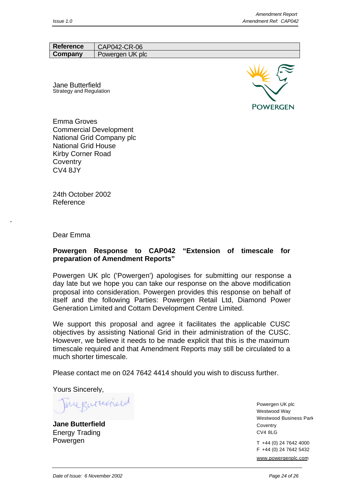| <b>Reference</b> | CAP042-CR-06    |
|------------------|-----------------|
| Company          | Powergen UK plc |

Jane Butterfield Strategy and Regulation



Emma Groves Commercial Development National Grid Company plc National Grid House Kirby Corner Road **Coventry** CV4 8JY

24th October 2002 Reference

Dear Emma

#### **Powergen Response to CAP042 "Extension of timescale for preparation of Amendment Reports"**

Powergen UK plc ('Powergen') apologises for submitting our response a day late but we hope you can take our response on the above modification proposal into consideration. Powergen provides this response on behalf of itself and the following Parties: Powergen Retail Ltd, Diamond Power Generation Limited and Cottam Development Centre Limited.

We support this proposal and agree it facilitates the applicable CUSC objectives by assisting National Grid in their administration of the CUSC. However, we believe it needs to be made explicit that this is the maximum timescale required and that Amendment Reports may still be circulated to a much shorter timescale.

Please contact me on 024 7642 4414 should you wish to discuss further.

Yours Sincerely,

ineputerneed

**Jane Butterfield** Energy Trading Powergen

Powergen UK plc Westwood Way Westwood Business Park Coventry CV4 8LG

T +44 (0) 24 7642 4000 F +44 (0) 24 7642 5432 www.powergenplc.com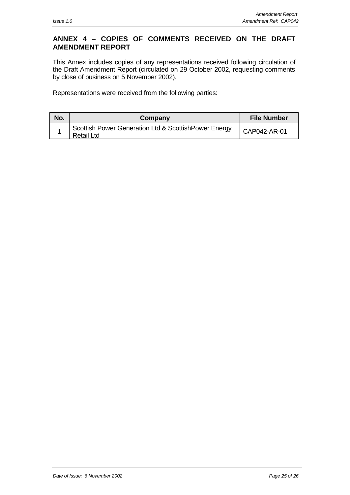## **ANNEX 4 – COPIES OF COMMENTS RECEIVED ON THE DRAFT AMENDMENT REPORT**

This Annex includes copies of any representations received following circulation of the Draft Amendment Report (circulated on 29 October 2002, requesting comments by close of business on 5 November 2002).

Representations were received from the following parties:

| No. | Company                                                                   | <b>File Number</b> |
|-----|---------------------------------------------------------------------------|--------------------|
|     | Scottish Power Generation Ltd & ScottishPower Energy<br><b>Retail Ltd</b> | CAP042-AR-01       |